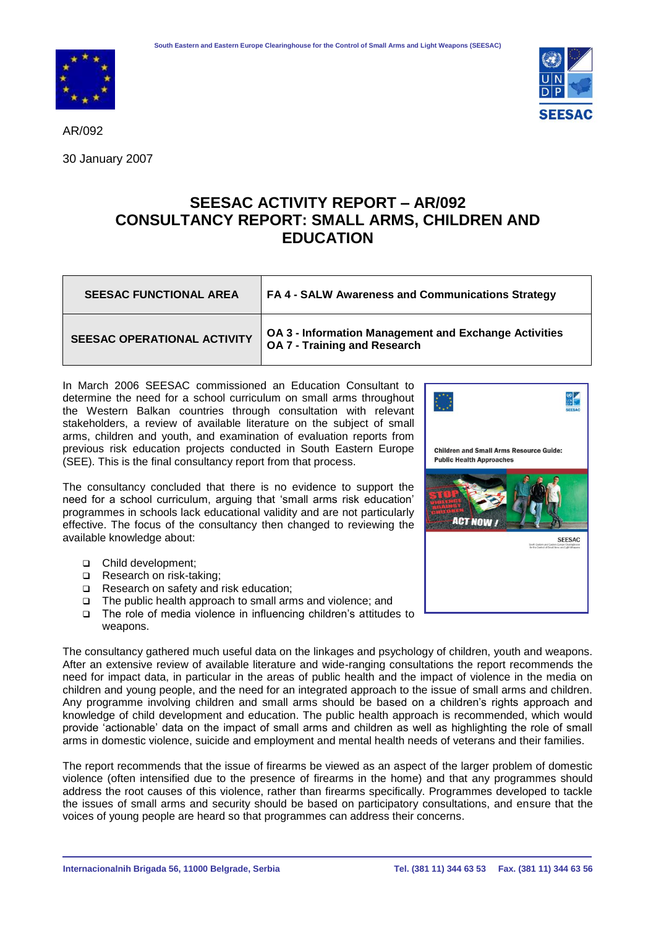



AR/092

30 January 2007

## **SEESAC ACTIVITY REPORT – AR/092 CONSULTANCY REPORT: SMALL ARMS, CHILDREN AND EDUCATION**

| <b>SEESAC FUNCTIONAL AREA</b> | FA 4 - SALW Awareness and Communications Strategy                                                   |
|-------------------------------|-----------------------------------------------------------------------------------------------------|
| SEESAC OPERATIONAL ACTIVITY   | <b>OA 3 - Information Management and Exchange Activities</b><br><b>OA 7 - Training and Research</b> |

In March 2006 SEESAC commissioned an Education Consultant to determine the need for a school curriculum on small arms throughout the Western Balkan countries through consultation with relevant stakeholders, a review of available literature on the subject of small arms, children and youth, and examination of evaluation reports from previous risk education projects conducted in South Eastern Europe (SEE). This is the final consultancy report from that process.

The consultancy concluded that there is no evidence to support the need for a school curriculum, arguing that 'small arms risk education' programmes in schools lack educational validity and are not particularly effective. The focus of the consultancy then changed to reviewing the available knowledge about:

- □ Child development;
- Research on risk-taking:
- Research on safety and risk education;
- The public health approach to small arms and violence; and
- □ The role of media violence in influencing children's attitudes to weapons.

The consultancy gathered much useful data on the linkages and psychology of children, youth and weapons. After an extensive review of available literature and wide-ranging consultations the report recommends the need for impact data, in particular in the areas of public health and the impact of violence in the media on children and young people, and the need for an integrated approach to the issue of small arms and children. Any programme involving children and small arms should be based on a children's rights approach and knowledge of child development and education. The public health approach is recommended, which would provide 'actionable' data on the impact of small arms and children as well as highlighting the role of small arms in domestic violence, suicide and employment and mental health needs of veterans and their families.

The report recommends that the issue of firearms be viewed as an aspect of the larger problem of domestic violence (often intensified due to the presence of firearms in the home) and that any programmes should address the root causes of this violence, rather than firearms specifically. Programmes developed to tackle the issues of small arms and security should be based on participatory consultations, and ensure that the voices of young people are heard so that programmes can address their concerns.